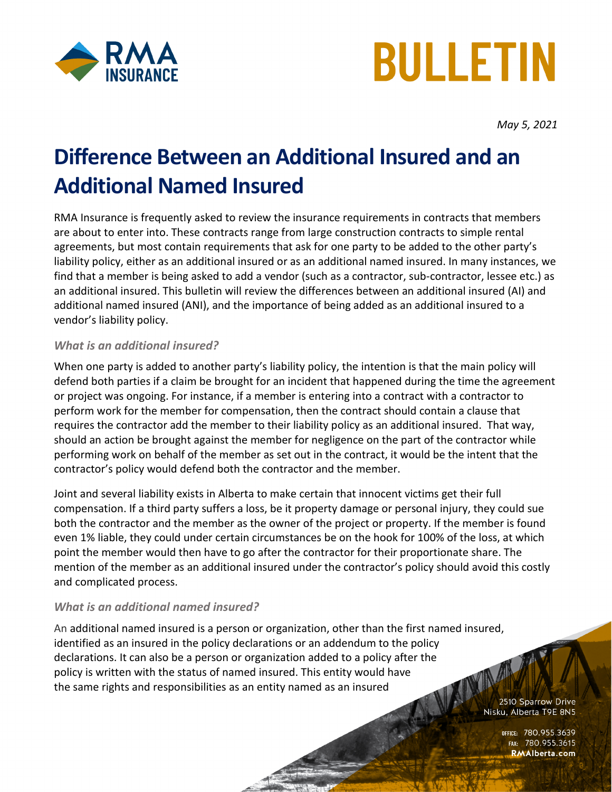



*May 5, 2021*

## **Difference Between an Additional Insured and an Additional Named Insured**

RMA Insurance is frequently asked to review the insurance requirements in contracts that members are about to enter into. These contracts range from large construction contracts to simple rental agreements, but most contain requirements that ask for one party to be added to the other party's liability policy, either as an additional insured or as an additional named insured. In many instances, we find that a member is being asked to add a vendor (such as a contractor, sub-contractor, lessee etc.) as an additional insured. This bulletin will review the differences between an additional insured (AI) and additional named insured (ANI), and the importance of being added as an additional insured to a vendor's liability policy.

## *What is an additional insured?*

When one party is added to another party's liability policy, the intention is that the main policy will defend both parties if a claim be brought for an incident that happened during the time the agreement or project was ongoing. For instance, if a member is entering into a contract with a contractor to perform work for the member for compensation, then the contract should contain a clause that requires the contractor add the member to their liability policy as an additional insured. That way, should an action be brought against the member for negligence on the part of the contractor while performing work on behalf of the member as set out in the contract, it would be the intent that the contractor's policy would defend both the contractor and the member.

Joint and several liability exists in Alberta to make certain that innocent victims get their full compensation. If a third party suffers a loss, be it property damage or personal injury, they could sue both the contractor and the member as the owner of the project or property. If the member is found even 1% liable, they could under certain circumstances be on the hook for 100% of the loss, at which point the member would then have to go after the contractor for their proportionate share. The mention of the member as an additional insured under the contractor's policy should avoid this costly and complicated process.

## *What is an additional named insured?*

An additional named insured is a person or organization, other than the first named insured, identified as an insured in the policy declarations or an addendum to the policy declarations. It can also be a person or organization added to a policy after the VAN policy is written with the status of named insured. This entity would have the same rights and responsibilities as an entity named as an insured

2510 Sparrow Drive Nisku, Alberta T9E 8N5

> OFFICE: 780.955.3639<br>Fax: 780.955.3615 RMAlberta.com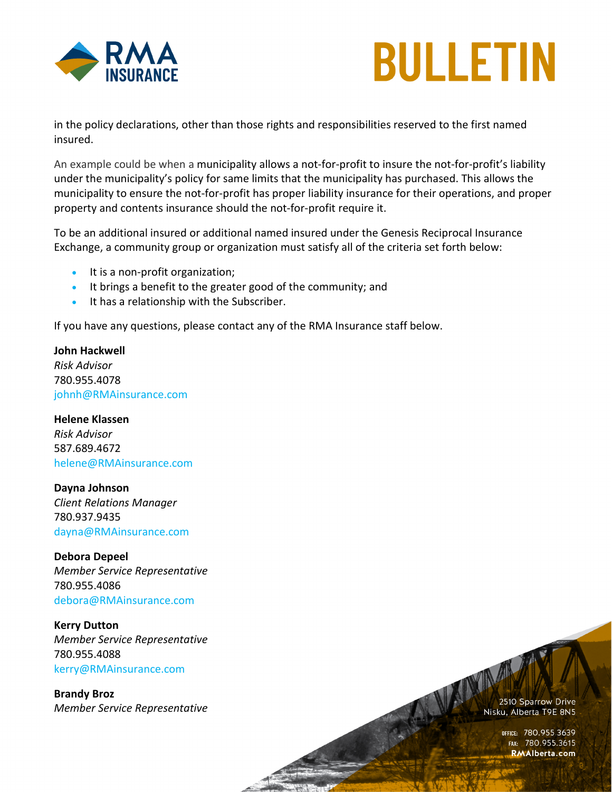



in the policy declarations, other than those rights and responsibilities reserved to the first named insured.

An example could be when a municipality allows a not-for-profit to insure the not-for-profit's liability under the municipality's policy for same limits that the municipality has purchased. This allows the municipality to ensure the not-for-profit has proper liability insurance for their operations, and proper property and contents insurance should the not-for-profit require it.

To be an additional insured or additional named insured under the Genesis Reciprocal Insurance Exchange, a community group or organization must satisfy all of the criteria set forth below:

- It is a non-profit organization;
- It brings a benefit to the greater good of the community; and
- It has a relationship with the Subscriber.

If you have any questions, please contact any of the RMA Insurance staff below.

**John Hackwell** *Risk Advisor* 780.955.4078 [johnh@RMAinsurance.com](mailto:johnh@RMAinsurance.com)

**Helene Klassen** *Risk Advisor* 587.689.4672 helene@RMAinsurance.com

**Dayna Johnson** *Client Relations Manager* 780.937.9435 [dayna@RMAinsurance.com](mailto:dayna@RMAinsurance.com)

**Debora Depeel** *Member Service Representative* 780.955.4086 [debora@RMAinsurance.com](mailto:debora@RMAinsurance.com)

**Kerry Dutton** *Member Service Representative* 780.955.4088 [kerry@RMAinsurance.com](mailto:kerry@RMAinsurance.com)

**Brandy Broz** *Member Service Representative* 2510 Sparrow Drive Nisku, Alberta T9E 8N5

OFFICE: 780.955.3639<br>Fax: 780.955.3615 **RMAlberta.com**